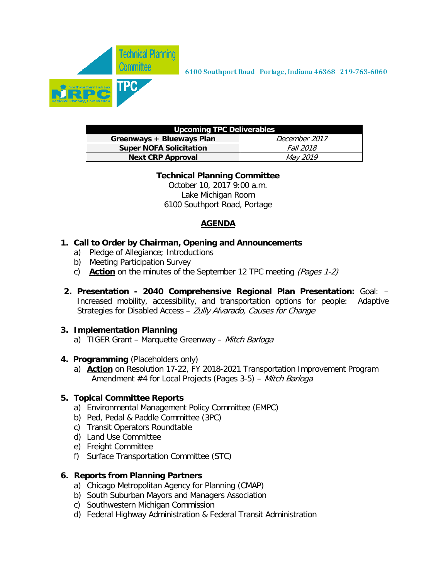

| <b>Upcoming TPC Deliverables</b> |                  |  |  |  |  |  |  |  |  |
|----------------------------------|------------------|--|--|--|--|--|--|--|--|
| Greenways + Blueways Plan        | December 2017    |  |  |  |  |  |  |  |  |
| <b>Super NOFA Solicitation</b>   | <i>Fall 2018</i> |  |  |  |  |  |  |  |  |
| <b>Next CRP Approval</b>         | <i>May 2019</i>  |  |  |  |  |  |  |  |  |

#### **Technical Planning Committee**

October 10, 2017 9:00 a.m. Lake Michigan Room 6100 Southport Road, Portage

### **AGENDA**

- **1. Call to Order by Chairman, Opening and Announcements**
	- a) Pledge of Allegiance; Introductions
	- b) Meeting Participation Survey
	- c) **Action** on the minutes of the September 12 TPC meeting (Pages 1-2)
- **2. Presentation 2040 Comprehensive Regional Plan Presentation:** Goal: Increased mobility, accessibility, and transportation options for people: Adaptive Strategies for Disabled Access - Zully Alvarado, Causes for Change

### **3. Implementation Planning**

- a) TIGER Grant Marquette Greenway Mitch Barloga
- **4. Programming** (Placeholders only)
	- a) **Action** on Resolution 17-22, FY 2018-2021 Transportation Improvement Program Amendment #4 for Local Projects (Pages 3-5) – Mitch Barloga

### **5. Topical Committee Reports**

- a) Environmental Management Policy Committee (EMPC)
- b) Ped, Pedal & Paddle Committee (3PC)
- c) Transit Operators Roundtable
- d) Land Use Committee
- e) Freight Committee
- f) Surface Transportation Committee (STC)

### **6. Reports from Planning Partners**

- a) Chicago Metropolitan Agency for Planning (CMAP)
- b) South Suburban Mayors and Managers Association
- c) Southwestern Michigan Commission
- d) Federal Highway Administration & Federal Transit Administration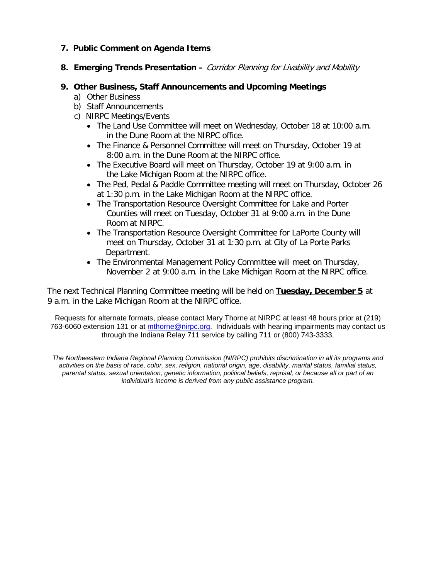#### **7. Public Comment on Agenda Items**

**8. Emerging Trends Presentation –** Corridor Planning for Livability and Mobility

#### **9. Other Business, Staff Announcements and Upcoming Meetings**

- a) Other Business
- b) Staff Announcements
- c) NIRPC Meetings/Events
	- The Land Use Committee will meet on Wednesday, October 18 at 10:00 a.m. in the Dune Room at the NIRPC office.
	- The Finance & Personnel Committee will meet on Thursday, October 19 at 8:00 a.m. in the Dune Room at the NIRPC office.
	- The Executive Board will meet on Thursday, October 19 at 9:00 a.m. in the Lake Michigan Room at the NIRPC office.
	- The Ped, Pedal & Paddle Committee meeting will meet on Thursday, October 26 at 1:30 p.m. in the Lake Michigan Room at the NIRPC office.
	- The Transportation Resource Oversight Committee for Lake and Porter Counties will meet on Tuesday, October 31 at 9:00 a.m. in the Dune Room at NIRPC.
	- The Transportation Resource Oversight Committee for LaPorte County will meet on Thursday, October 31 at 1:30 p.m. at City of La Porte Parks Department.
	- The Environmental Management Policy Committee will meet on Thursday, November 2 at 9:00 a.m. in the Lake Michigan Room at the NIRPC office.

The next Technical Planning Committee meeting will be held on **Tuesday, December 5** at 9 a.m. in the Lake Michigan Room at the NIRPC office.

Requests for alternate formats, please contact Mary Thorne at NIRPC at least 48 hours prior at (219) 763-6060 extension 131 or at [mthorne@nirpc.org.](mailto:mthorne@nirpc.org) Individuals with hearing impairments may contact us through the Indiana Relay 711 service by calling 711 or (800) 743-3333.

*The Northwestern Indiana Regional Planning Commission (NIRPC) prohibits discrimination in all its programs and activities on the basis of race, color, sex, religion, national origin, age, disability, marital status, familial status, parental status, sexual orientation, genetic information, political beliefs, reprisal, or because all or part of an individual's income is derived from any public assistance program.*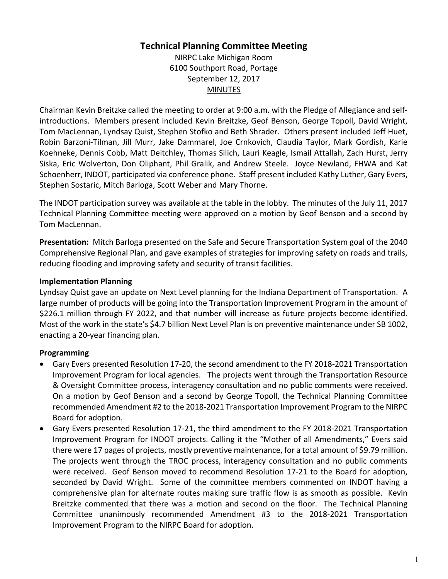# **Technical Planning Committee Meeting**

NIRPC Lake Michigan Room 6100 Southport Road, Portage September 12, 2017 MINUTES

Chairman Kevin Breitzke called the meeting to order at 9:00 a.m. with the Pledge of Allegiance and selfintroductions. Members present included Kevin Breitzke, Geof Benson, George Topoll, David Wright, Tom MacLennan, Lyndsay Quist, Stephen Stofko and Beth Shrader. Others present included Jeff Huet, Robin Barzoni-Tilman, Jill Murr, Jake Dammarel, Joe Crnkovich, Claudia Taylor, Mark Gordish, Karie Koehneke, Dennis Cobb, Matt Deitchley, Thomas Silich, Lauri Keagle, Ismail Attallah, Zach Hurst, Jerry Siska, Eric Wolverton, Don Oliphant, Phil Gralik, and Andrew Steele. Joyce Newland, FHWA and Kat Schoenherr, INDOT, participated via conference phone. Staff present included Kathy Luther, Gary Evers, Stephen Sostaric, Mitch Barloga, Scott Weber and Mary Thorne.

The INDOT participation survey was available at the table in the lobby. The minutes of the July 11, 2017 Technical Planning Committee meeting were approved on a motion by Geof Benson and a second by Tom MacLennan.

**Presentation:** Mitch Barloga presented on the Safe and Secure Transportation System goal of the 2040 Comprehensive Regional Plan, and gave examples of strategies for improving safety on roads and trails, reducing flooding and improving safety and security of transit facilities.

### **Implementation Planning**

Lyndsay Quist gave an update on Next Level planning for the Indiana Department of Transportation. A large number of products will be going into the Transportation Improvement Program in the amount of \$226.1 million through FY 2022, and that number will increase as future projects become identified. Most of the work in the state's \$4.7 billion Next Level Plan is on preventive maintenance under SB 1002, enacting a 20-year financing plan.

### **Programming**

- Gary Evers presented Resolution 17-20, the second amendment to the FY 2018-2021 Transportation Improvement Program for local agencies. The projects went through the Transportation Resource & Oversight Committee process, interagency consultation and no public comments were received. On a motion by Geof Benson and a second by George Topoll, the Technical Planning Committee recommended Amendment #2 to the 2018-2021 Transportation Improvement Program to the NIRPC Board for adoption.
- Gary Evers presented Resolution 17-21, the third amendment to the FY 2018-2021 Transportation Improvement Program for INDOT projects. Calling it the "Mother of all Amendments," Evers said there were 17 pages of projects, mostly preventive maintenance, for a total amount of \$9.79 million. The projects went through the TROC process, interagency consultation and no public comments were received. Geof Benson moved to recommend Resolution 17-21 to the Board for adoption, seconded by David Wright. Some of the committee members commented on INDOT having a comprehensive plan for alternate routes making sure traffic flow is as smooth as possible. Kevin Breitzke commented that there was a motion and second on the floor. The Technical Planning Committee unanimously recommended Amendment #3 to the 2018-2021 Transportation Improvement Program to the NIRPC Board for adoption.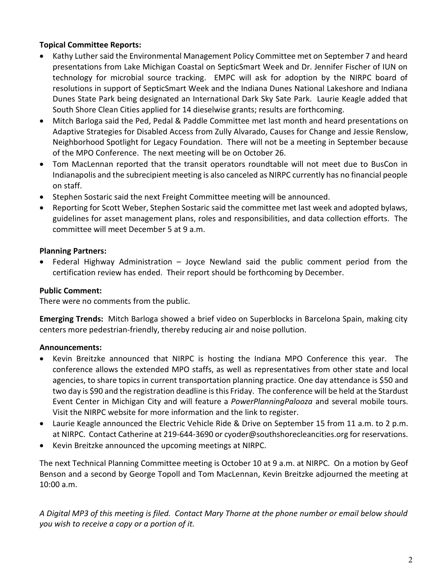### **Topical Committee Reports:**

- Kathy Luther said the Environmental Management Policy Committee met on September 7 and heard presentations from Lake Michigan Coastal on SepticSmart Week and Dr. Jennifer Fischer of IUN on technology for microbial source tracking. EMPC will ask for adoption by the NIRPC board of resolutions in support of SepticSmart Week and the Indiana Dunes National Lakeshore and Indiana Dunes State Park being designated an International Dark Sky Sate Park. Laurie Keagle added that South Shore Clean Cities applied for 14 dieselwise grants; results are forthcoming.
- Mitch Barloga said the Ped, Pedal & Paddle Committee met last month and heard presentations on Adaptive Strategies for Disabled Access from Zully Alvarado, Causes for Change and Jessie Renslow, Neighborhood Spotlight for Legacy Foundation. There will not be a meeting in September because of the MPO Conference. The next meeting will be on October 26.
- Tom MacLennan reported that the transit operators roundtable will not meet due to BusCon in Indianapolis and the subrecipient meeting is also canceled as NIRPC currently has no financial people on staff.
- Stephen Sostaric said the next Freight Committee meeting will be announced.
- Reporting for Scott Weber, Stephen Sostaric said the committee met last week and adopted bylaws, guidelines for asset management plans, roles and responsibilities, and data collection efforts. The committee will meet December 5 at 9 a.m.

### **Planning Partners:**

• Federal Highway Administration – Joyce Newland said the public comment period from the certification review has ended. Their report should be forthcoming by December.

### **Public Comment:**

There were no comments from the public.

**Emerging Trends:** Mitch Barloga showed a brief video on Superblocks in Barcelona Spain, making city centers more pedestrian-friendly, thereby reducing air and noise pollution.

### **Announcements:**

- Kevin Breitzke announced that NIRPC is hosting the Indiana MPO Conference this year. The conference allows the extended MPO staffs, as well as representatives from other state and local agencies, to share topics in current transportation planning practice. One day attendance is \$50 and two day is \$90 and the registration deadline is this Friday. The conference will be held at the Stardust Event Center in Michigan City and will feature a *PowerPlanningPalooza* and several mobile tours. Visit the NIRPC website for more information and the link to register.
- Laurie Keagle announced the Electric Vehicle Ride & Drive on September 15 from 11 a.m. to 2 p.m. at NIRPC. Contact Catherine at 219-644-3690 or cyoder@southshorecleancities.org for reservations.
- Kevin Breitzke announced the upcoming meetings at NIRPC.

The next Technical Planning Committee meeting is October 10 at 9 a.m. at NIRPC. On a motion by Geof Benson and a second by George Topoll and Tom MacLennan, Kevin Breitzke adjourned the meeting at 10:00 a.m.

*A Digital MP3 of this meeting is filed. Contact Mary Thorne at the phone number or email below should you wish to receive a copy or a portion of it.*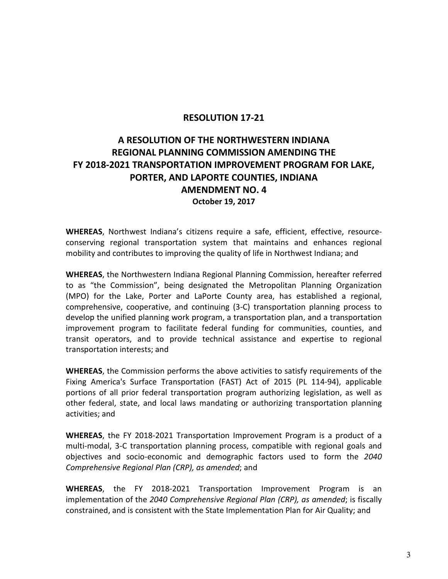### **RESOLUTION 17-21**

# **A RESOLUTION OF THE NORTHWESTERN INDIANA REGIONAL PLANNING COMMISSION AMENDING THE FY 2018-2021 TRANSPORTATION IMPROVEMENT PROGRAM FOR LAKE, PORTER, AND LAPORTE COUNTIES, INDIANA AMENDMENT NO. 4 October 19, 2017**

**WHEREAS**, Northwest Indiana's citizens require a safe, efficient, effective, resourceconserving regional transportation system that maintains and enhances regional mobility and contributes to improving the quality of life in Northwest Indiana; and

**WHEREAS**, the Northwestern Indiana Regional Planning Commission, hereafter referred to as "the Commission", being designated the Metropolitan Planning Organization (MPO) for the Lake, Porter and LaPorte County area, has established a regional, comprehensive, cooperative, and continuing (3-C) transportation planning process to develop the unified planning work program, a transportation plan, and a transportation improvement program to facilitate federal funding for communities, counties, and transit operators, and to provide technical assistance and expertise to regional transportation interests; and

**WHEREAS**, the Commission performs the above activities to satisfy requirements of the Fixing America's Surface Transportation (FAST) Act of 2015 (PL 114-94), applicable portions of all prior federal transportation program authorizing legislation, as well as other federal, state, and local laws mandating or authorizing transportation planning activities; and

**WHEREAS**, the FY 2018-2021 Transportation Improvement Program is a product of a multi-modal, 3-C transportation planning process, compatible with regional goals and objectives and socio-economic and demographic factors used to form the *2040 Comprehensive Regional Plan (CRP), as amended*; and

**WHEREAS**, the FY 2018-2021 Transportation Improvement Program is an implementation of the *2040 Comprehensive Regional Plan (CRP), as amended*; is fiscally constrained, and is consistent with the State Implementation Plan for Air Quality; and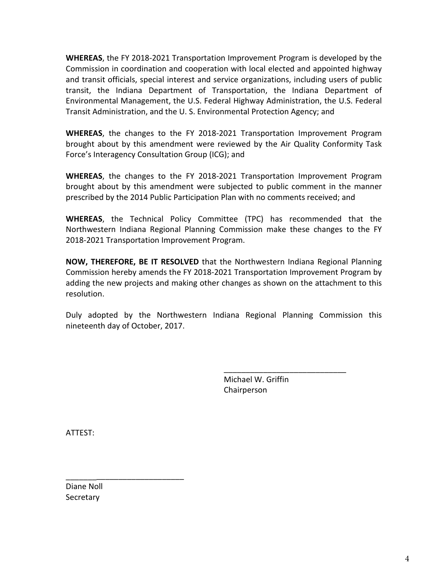**WHEREAS**, the FY 2018-2021 Transportation Improvement Program is developed by the Commission in coordination and cooperation with local elected and appointed highway and transit officials, special interest and service organizations, including users of public transit, the Indiana Department of Transportation, the Indiana Department of Environmental Management, the U.S. Federal Highway Administration, the U.S. Federal Transit Administration, and the U. S. Environmental Protection Agency; and

**WHEREAS**, the changes to the FY 2018-2021 Transportation Improvement Program brought about by this amendment were reviewed by the Air Quality Conformity Task Force's Interagency Consultation Group (ICG); and

**WHEREAS**, the changes to the FY 2018-2021 Transportation Improvement Program brought about by this amendment were subjected to public comment in the manner prescribed by the 2014 Public Participation Plan with no comments received; and

**WHEREAS**, the Technical Policy Committee (TPC) has recommended that the Northwestern Indiana Regional Planning Commission make these changes to the FY 2018-2021 Transportation Improvement Program.

**NOW, THEREFORE, BE IT RESOLVED** that the Northwestern Indiana Regional Planning Commission hereby amends the FY 2018-2021 Transportation Improvement Program by adding the new projects and making other changes as shown on the attachment to this resolution.

Duly adopted by the Northwestern Indiana Regional Planning Commission this nineteenth day of October, 2017.

> Michael W. Griffin Chairperson

\_\_\_\_\_\_\_\_\_\_\_\_\_\_\_\_\_\_\_\_\_\_\_\_\_\_\_\_

ATTEST:

Diane Noll **Secretary** 

\_\_\_\_\_\_\_\_\_\_\_\_\_\_\_\_\_\_\_\_\_\_\_\_\_\_\_